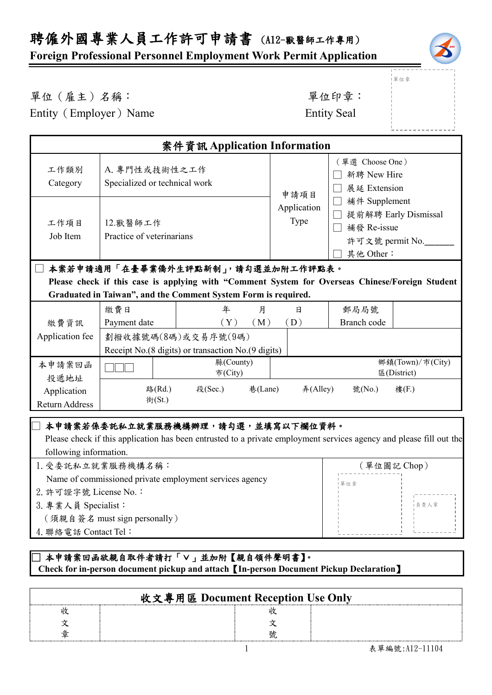# 聘僱外國專業人員工作許可申請書 (A12-獸醫師工作專用)

### **Foreign Professional Personnel Employment Work Permit Application**



單位章

#### 單位(雇主)名稱: 第六章: 李仁平 李 雷位印章:

Entity (Employer) Name Entity Seal

| 案件資訊 Application Information                                                                                                                                      |                                                                           |                    |                            |                                                                                                                                        |       |
|-------------------------------------------------------------------------------------------------------------------------------------------------------------------|---------------------------------------------------------------------------|--------------------|----------------------------|----------------------------------------------------------------------------------------------------------------------------------------|-------|
| 工作類別<br>Category                                                                                                                                                  | A. 專門性或技術性之工作<br>Specialized or technical work                            |                    | 申請項目                       | (單選 Choose One)<br>新聘 New Hire<br>展延 Extension<br>補件 Supplement<br>提前解聘 Early Dismissal<br>補發 Re-issue<br>許可文號 permit No.<br>其他 Other: |       |
| 工作項目<br>Job Item                                                                                                                                                  | 12. 獸醫師工作<br>Practice of veterinarians                                    |                    | Application<br><b>Type</b> |                                                                                                                                        |       |
| 本案若申請適用「在臺畢業僑外生評點新制」,請勾選並加附工作評點表。                                                                                                                                 |                                                                           |                    |                            |                                                                                                                                        |       |
| Please check if this case is applying with "Comment System for Overseas Chinese/Foreign Student<br>Graduated in Taiwan", and the Comment System Form is required. |                                                                           |                    |                            |                                                                                                                                        |       |
|                                                                                                                                                                   | 繳費日                                                                       | 年<br>月             | E                          | 郵局局號                                                                                                                                   |       |
| 繳費資訊                                                                                                                                                              | Payment date                                                              | (Y)<br>(M)         | (D)                        | Branch code                                                                                                                            |       |
| Application fee                                                                                                                                                   | 劃撥收據號碼(8碼)或交易序號(9碼)<br>Receipt No.(8 digits) or transaction No.(9 digits) |                    |                            |                                                                                                                                        |       |
| 本申請案回函<br>投遞地址                                                                                                                                                    | 縣 $(Country)$<br>區(District)<br>市(City)                                   |                    | 鄉鎮(Town)/市(City)           |                                                                                                                                        |       |
| Application<br><b>Return Address</b>                                                                                                                              | 路(Rd.)<br>街(St.)                                                          | 段(Sec.)<br>巷(Lane) | #(Alley)                   | 號(No.)                                                                                                                                 | 樓(F.) |
| 本申請案若係委託私立就業服務機構辦理,請勾選,並填寫以下欄位資料。                                                                                                                                 |                                                                           |                    |                            |                                                                                                                                        |       |

 Please check if this application has been entrusted to a private employment services agency and please fill out the following information.

| 1. 受委託私立就業服務機構名稱:                                       | (單位圖記 Chop) |       |
|---------------------------------------------------------|-------------|-------|
| Name of commissioned private employment services agency | 單位章         |       |
| 2. 許可證字號 License No.:                                   |             |       |
| 3. 專業人員 Specialist:                                     |             | 1負青人章 |
| (須親自簽名 must sign personally)                            |             |       |
| 4. 聯絡電話 Contact Tel:                                    |             |       |

#### 」本申請案回函欲親自取件者請打「∨」並加附【親自領件聲明書】。  **Check for in-person document pickup and attach**【**In-person Document Pickup Declaration**】

| 收文專用區 Document Reception Use Only |  |  |  |
|-----------------------------------|--|--|--|
|                                   |  |  |  |
|                                   |  |  |  |
|                                   |  |  |  |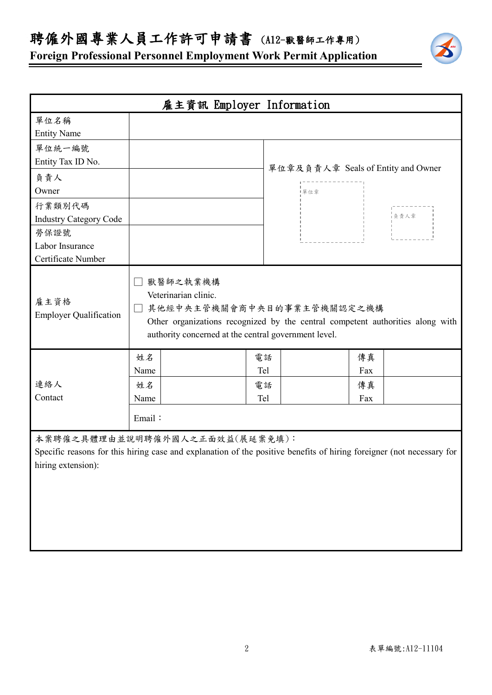聘僱外國專業人員工作許可申請書 (A12-獸醫師工作專用)

**Foreign Professional Personnel Employment Work Permit Application**

| 雇主資訊 Employer Information             |                                                                                                                                                                                                          |     |                                    |  |
|---------------------------------------|----------------------------------------------------------------------------------------------------------------------------------------------------------------------------------------------------------|-----|------------------------------------|--|
| 單位名稱                                  |                                                                                                                                                                                                          |     |                                    |  |
| <b>Entity Name</b>                    |                                                                                                                                                                                                          |     |                                    |  |
| 單位統一編號                                |                                                                                                                                                                                                          |     |                                    |  |
| Entity Tax ID No.                     |                                                                                                                                                                                                          |     | 單位章及負責人章 Seals of Entity and Owner |  |
| 負責人                                   |                                                                                                                                                                                                          |     |                                    |  |
| Owner                                 |                                                                                                                                                                                                          | 軍位章 |                                    |  |
| 行業類別代碼                                |                                                                                                                                                                                                          |     |                                    |  |
| <b>Industry Category Code</b>         |                                                                                                                                                                                                          |     | -<br> 負責人章                         |  |
| 勞保證號                                  |                                                                                                                                                                                                          |     |                                    |  |
| Labor Insurance                       |                                                                                                                                                                                                          |     |                                    |  |
| Certificate Number                    |                                                                                                                                                                                                          |     |                                    |  |
| 雇主資格<br><b>Employer Qualification</b> | 獸醫師之執業機構<br>Veterinarian clinic.<br>其他經中央主管機關會商中央目的事業主管機關認定之機構<br>Other organizations recognized by the central competent authorities along with<br>authority concerned at the central government level. |     |                                    |  |
|                                       | 姓名                                                                                                                                                                                                       | 電話  | 傳真                                 |  |
|                                       | Name                                                                                                                                                                                                     | Tel | Fax                                |  |
| 連絡人                                   | 姓名                                                                                                                                                                                                       | 電話  | 傳真                                 |  |
| Contact                               | Name                                                                                                                                                                                                     | Tel | Fax                                |  |
|                                       | Email:                                                                                                                                                                                                   |     |                                    |  |
|                                       | 本案聘僱之具體理由並說明聘僱外國人之正面效益(展延案免填):                                                                                                                                                                           |     |                                    |  |
|                                       | Specific reasons for this hiring case and explanation of the positive benefits of hiring foreigner (not necessary for                                                                                    |     |                                    |  |
| hiring extension):                    |                                                                                                                                                                                                          |     |                                    |  |
|                                       |                                                                                                                                                                                                          |     |                                    |  |
|                                       |                                                                                                                                                                                                          |     |                                    |  |
|                                       |                                                                                                                                                                                                          |     |                                    |  |
|                                       |                                                                                                                                                                                                          |     |                                    |  |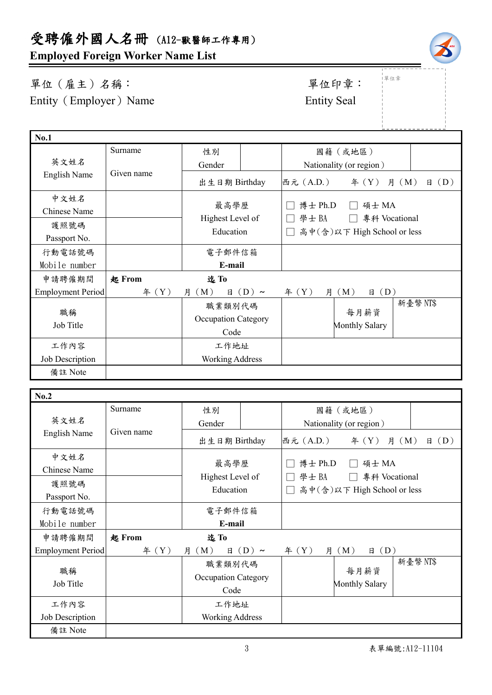# 受聘僱外國人名冊 (A12-獸醫師工作專用)

**Employed Foreign Worker Name List**

### 單位(雇主)名稱: 第四章: 李位印章: 第一 Entity (Employer) Name Entity Seal

單位章

| <b>No.1</b>          |               |                                              |                   |                  |                                              |            |     |
|----------------------|---------------|----------------------------------------------|-------------------|------------------|----------------------------------------------|------------|-----|
|                      | Surname       | 性別                                           |                   |                  | 國籍(或地區)                                      |            |     |
| 英文姓名                 | Given name    | Gender                                       |                   |                  | Nationality (or region)                      |            |     |
| English Name         |               | 出生日期 Birthday                                |                   | 西元 (A.D.)        | # (Y)                                        | 月 (M)<br>日 | (D) |
| 中文姓名<br>Chinese Name |               | 最高學歷                                         |                   | 博士 Ph.D          | 碩士 MA                                        |            |     |
| 護照號碼                 |               | Highest Level of<br>Education                |                   | 學士BA             | 專科 Vocational<br>高中(含)以下 High School or less |            |     |
| Passport No.         |               |                                              |                   |                  |                                              |            |     |
| 行動電話號碼               |               | 電子郵件信箱                                       |                   |                  |                                              |            |     |
| Mobile number        |               | E-mail                                       |                   |                  |                                              |            |     |
| 申請聘僱期間               | <b>起 From</b> | 迄To                                          |                   |                  |                                              |            |     |
| Employment Period    | # (Y)         | 月 (M)                                        | $\boxminus$ (D) ~ | # (Y)<br>月 $(M)$ | (D)<br>日                                     |            |     |
| 職稱<br>Job Title      |               | 職業類別代碼<br><b>Occupation Category</b><br>Code |                   |                  | 每月薪資<br><b>Monthly Salary</b>                | 新臺幣NT\$    |     |
| 工作內容                 |               | 工作地址                                         |                   |                  |                                              |            |     |
| Job Description      |               | <b>Working Address</b>                       |                   |                  |                                              |            |     |
| 備註 Note              |               |                                              |                   |                  |                                              |            |     |

| No.2                     |            |                                       |                   |                                                      |                         |                |
|--------------------------|------------|---------------------------------------|-------------------|------------------------------------------------------|-------------------------|----------------|
|                          | Surname    | 性別                                    |                   |                                                      | 國籍(或地區)                 |                |
| 英文姓名                     | Given name | Gender                                |                   | Nationality (or region)                              |                         |                |
| English Name             |            | 出生日期 Birthday                         |                   | 西元 (A.D.)                                            | $\text{4}(Y)$ 月 $(M)$   | $\boxplus$ (D) |
| 中文姓名<br>Chinese Name     |            | 最高學歷                                  |                   | 博士 Ph.D                                              | 碩士 MA                   |                |
| 護照號碼<br>Passport No.     |            | Highest Level of<br>Education         |                   | 學士BA<br>專科 Vocational<br>高中(含)以下 High School or less |                         |                |
| 行動電話號碼                   |            | 電子郵件信箱                                |                   |                                                      |                         |                |
| Mobile number            |            | E-mail                                |                   |                                                      |                         |                |
| 申請聘僱期間                   | 起 From     | 迄To                                   |                   |                                                      |                         |                |
| <b>Employment Period</b> | # (Y)      | 月 (M)                                 | $\boxminus$ (D) ~ | # (Y)                                                | $\boxplus$ (D)<br>月 (M) |                |
| 職稱<br>Job Title          |            | 職業類別代碼<br>Occupation Category<br>Code |                   |                                                      | 每月薪資<br>Monthly Salary  | 新臺幣NT\$        |
| 工作內容                     |            | 工作地址                                  |                   |                                                      |                         |                |
| Job Description          |            | <b>Working Address</b>                |                   |                                                      |                         |                |
| 備註 Note                  |            |                                       |                   |                                                      |                         |                |

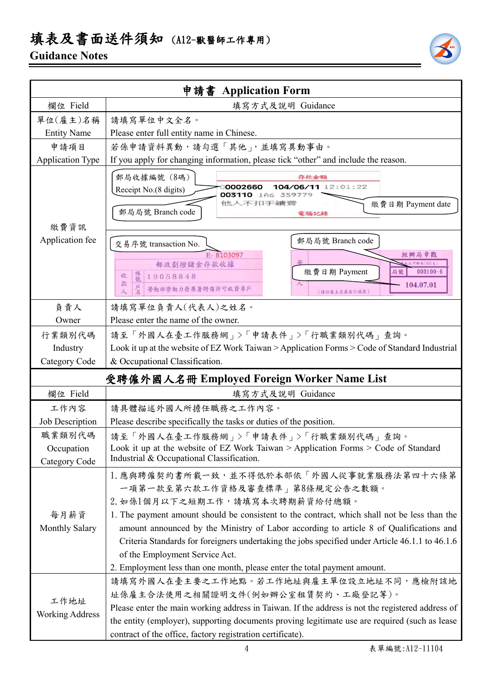## 填表及書面送件須知 (A12-獸醫師工作專用)

#### **Guidance Notes**



|                                            | 申請書 Application Form                                                                                                                                                                                                                                                                                                                                                                                                                                                                                                       |  |  |  |
|--------------------------------------------|----------------------------------------------------------------------------------------------------------------------------------------------------------------------------------------------------------------------------------------------------------------------------------------------------------------------------------------------------------------------------------------------------------------------------------------------------------------------------------------------------------------------------|--|--|--|
| 欄位 Field                                   | 填寫方式及說明 Guidance                                                                                                                                                                                                                                                                                                                                                                                                                                                                                                           |  |  |  |
| 單位(雇主)名稱                                   | 請填寫單位中文全名。                                                                                                                                                                                                                                                                                                                                                                                                                                                                                                                 |  |  |  |
| <b>Entity Name</b>                         | Please enter full entity name in Chinese.                                                                                                                                                                                                                                                                                                                                                                                                                                                                                  |  |  |  |
| 申請項目                                       | 若係申請資料異動,請勾選「其他」,並填寫異動事由。                                                                                                                                                                                                                                                                                                                                                                                                                                                                                                  |  |  |  |
| Application Type                           | If you apply for changing information, please tick "other" and include the reason.                                                                                                                                                                                                                                                                                                                                                                                                                                         |  |  |  |
| 繳費資訊                                       | 郵局收據編號 (8碼)<br>存款金額<br>104/06/11 12:01:22<br>0002660<br>Receipt No.(8 digits)<br>003110 1A6<br>359779<br>他人不扣手續變<br>繳費日期 Payment date<br>郵局局號 Branch code<br>電腦記錄                                                                                                                                                                                                                                                                                                                                                          |  |  |  |
| Application fee                            | 郵局局號 Branch code<br>交易序號 transaction No.                                                                                                                                                                                                                                                                                                                                                                                                                                                                                   |  |  |  |
|                                            | E-8103097<br>經辦局章戳<br>門郵局(901支)<br>郵政劃撥儲金存款收據<br>$000100 - 6$<br>繳費日期 Payment<br>局號<br>帳號<br>收<br>19058848<br>款<br>104.07.01<br>勞動部勞動力發展署聘僱許可收費專戶<br>人<br>(請以雇主名義自行填寫)                                                                                                                                                                                                                                                                                                                                                     |  |  |  |
| 負責人                                        | 請填寫單位負責人(代表人)之姓名。                                                                                                                                                                                                                                                                                                                                                                                                                                                                                                          |  |  |  |
| Owner                                      | Please enter the name of the owner.                                                                                                                                                                                                                                                                                                                                                                                                                                                                                        |  |  |  |
| 行業類別代碼                                     | 請至「外國人在臺工作服務網」>「申請表件」>「行職業類別代碼」查詢。                                                                                                                                                                                                                                                                                                                                                                                                                                                                                         |  |  |  |
| Industry                                   | Look it up at the website of EZ Work Taiwan > Application Forms > Code of Standard Industrial                                                                                                                                                                                                                                                                                                                                                                                                                              |  |  |  |
| Category Code                              | & Occupational Classification.                                                                                                                                                                                                                                                                                                                                                                                                                                                                                             |  |  |  |
| 受聘僱外國人名冊 Employed Foreign Worker Name List |                                                                                                                                                                                                                                                                                                                                                                                                                                                                                                                            |  |  |  |
| 欄位 Field                                   | 填寫方式及說明 Guidance                                                                                                                                                                                                                                                                                                                                                                                                                                                                                                           |  |  |  |
| 工作內容                                       | 請具體描述外國人所擔任職務之工作內容。                                                                                                                                                                                                                                                                                                                                                                                                                                                                                                        |  |  |  |
| Job Description                            | Please describe specifically the tasks or duties of the position.                                                                                                                                                                                                                                                                                                                                                                                                                                                          |  |  |  |
| 職業類別代碼<br>Occupation<br>Category Code      | 請至「外國人在臺工作服務網」>「申請表件」>「行職業類別代碼」查詢。<br>Look it up at the website of EZ Work Taiwan > Application Forms > Code of Standard<br>Industrial & Occupational Classification.                                                                                                                                                                                                                                                                                                                                                      |  |  |  |
| 每月薪資<br>Monthly Salary                     | 1. 應與聘僱契約書所載一致,並不得低於本部依「外國人從事就業服務法第四十六條第<br>一項第一款至第六款工作資格及審查標準   第8條規定公告之數額。<br>2. 如係1個月以下之短期工作,請填寫本次聘期薪資給付總額。<br>1. The payment amount should be consistent to the contract, which shall not be less than the<br>amount announced by the Ministry of Labor according to article 8 of Qualifications and<br>Criteria Standards for foreigners undertaking the jobs specified under Article 46.1.1 to 46.1.6<br>of the Employment Service Act.<br>2. Employment less than one month, please enter the total payment amount. |  |  |  |
| 工作地址<br><b>Working Address</b>             | 請填寫外國人在臺主要之工作地點。若工作地址與雇主單位設立地址不同,應檢附該地<br>址係雇主合法使用之相關證明文件(例如辦公室租賃契約、工廠登記等)。<br>Please enter the main working address in Taiwan. If the address is not the registered address of<br>the entity (employer), supporting documents proving legitimate use are required (such as lease<br>contract of the office, factory registration certificate).                                                                                                                                                                            |  |  |  |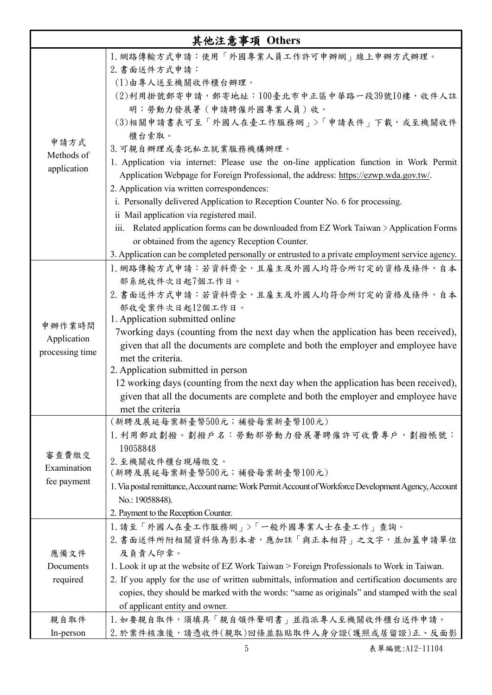|                    | 其他注意事項 Others                                                                                        |
|--------------------|------------------------------------------------------------------------------------------------------|
|                    | 1. 網路傳輸方式申請:使用「外國專業人員工作許可申辦網」線上申辦方式辦理。                                                               |
|                    | 2. 書面送件方式申請:                                                                                         |
|                    | (1)由專人送至機關收件櫃台辦理。                                                                                    |
|                    | (2)利用掛號郵寄申請,郵寄地址:100臺北市中正區中華路一段39號10樓,收件人註                                                           |
|                    | 明:勞動力發展署(申請聘僱外國專業人員)收。                                                                               |
|                    | (3)相關申請書表可至「外國人在臺工作服務網」>「申請表件」下載,或至機關收件                                                              |
|                    | 櫃台索取。                                                                                                |
| 申請方式<br>Methods of | 3. 可親自辦理或委託私立就業服務機構辦理。                                                                               |
| application        | 1. Application via internet: Please use the on-line application function in Work Permit              |
|                    | Application Webpage for Foreign Professional, the address: https://ezwp.wda.gov.tw/.                 |
|                    | 2. Application via written correspondences:                                                          |
|                    | i. Personally delivered Application to Reception Counter No. 6 for processing.                       |
|                    | ii Mail application via registered mail.                                                             |
|                    | iii. Related application forms can be downloaded from EZ Work Taiwan > Application Forms             |
|                    | or obtained from the agency Reception Counter.                                                       |
|                    | 3. Application can be completed personally or entrusted to a private employment service agency.      |
|                    | 1. 網路傳輸方式申請:若資料齊全,且雇主及外國人均符合所訂定的資格及條件,自本                                                             |
|                    | 部系統收件次日起7個工作日。                                                                                       |
|                    | 2. 書面送件方式申請:若資料齊全,且雇主及外國人均符合所訂定的資格及條件,自本                                                             |
|                    | 部收受案件次日起12個工作日。                                                                                      |
| 申辦作業時間             | 1. Application submitted online                                                                      |
| Application        | 7 working days (counting from the next day when the application has been received),                  |
| processing time    | given that all the documents are complete and both the employer and employee have                    |
|                    | met the criteria.<br>2. Application submitted in person                                              |
|                    | 12 working days (counting from the next day when the application has been received),                 |
|                    | given that all the documents are complete and both the employer and employee have                    |
|                    | met the criteria                                                                                     |
|                    | (新聘及展延每案新臺幣500元;補發每案新臺幣100元)                                                                         |
|                    | 1. 利用郵政劃撥。劃撥戶名:勞動部勞動力發展署聘僱許可收費專戶,劃撥帳號:                                                               |
|                    | 19058848                                                                                             |
| 審查費繳交              | 2. 至機關收件櫃台現場繳交。                                                                                      |
| Examination        | (新聘及展延每案新臺幣500元;補發每案新臺幣100元)                                                                         |
| fee payment        | 1. Via postal remittance, Account name: Work Permit Account of Workforce Development Agency, Account |
|                    | No.: 19058848).                                                                                      |
|                    | 2. Payment to the Reception Counter.                                                                 |
|                    | 1. 請至「外國人在臺工作服務網」>「一般外國專業人士在臺工作」查詢。                                                                  |
|                    | 2. 書面送件所附相關資料係為影本者,應加註「與正本相符」之文字,並加蓋申請單位                                                             |
| 應備文件               | 及負責人印章。                                                                                              |
| Documents          | 1. Look it up at the website of EZ Work Taiwan > Foreign Professionals to Work in Taiwan.            |
| required           | 2. If you apply for the use of written submittals, information and certification documents are       |
|                    | copies, they should be marked with the words: "same as originals" and stamped with the seal          |
|                    | of applicant entity and owner.                                                                       |
| 親自取件               | 1. 如要親自取件,須填具「親自領件聲明書」並指派專人至機關收件櫃台送件申請。                                                              |
| In-person          | 2. 於案件核准後, 請憑收件(親取)回條並黏貼取件人身分證(護照或居留證)正、反面影                                                          |